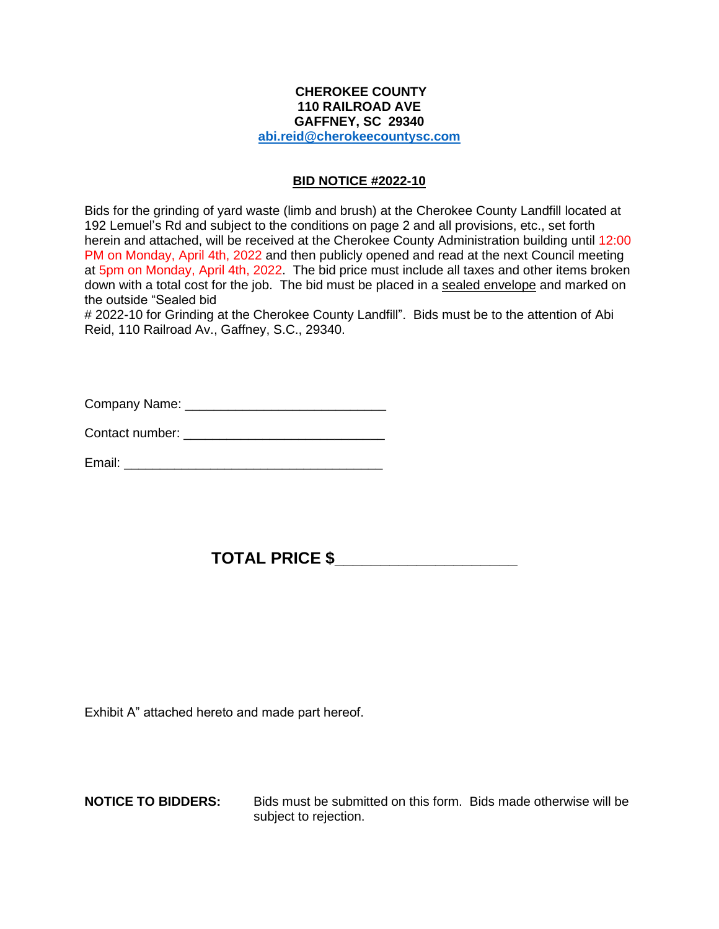## **CHEROKEE COUNTY 110 RAILROAD AVE GAFFNEY, SC 29340 [abi.reid@cherokeecountysc.com](mailto:abi.reid@cherokeecountysc.com)**

## **BID NOTICE #2022-10**

Bids for the grinding of yard waste (limb and brush) at the Cherokee County Landfill located at 192 Lemuel's Rd and subject to the conditions on page 2 and all provisions, etc., set forth herein and attached, will be received at the Cherokee County Administration building until 12:00 PM on Monday, April 4th, 2022 and then publicly opened and read at the next Council meeting at 5pm on Monday, April 4th, 2022. The bid price must include all taxes and other items broken down with a total cost for the job. The bid must be placed in a sealed envelope and marked on the outside "Sealed bid

# 2022-10 for Grinding at the Cherokee County Landfill". Bids must be to the attention of Abi Reid, 110 Railroad Av., Gaffney, S.C., 29340.

Company Name: \_\_\_\_\_\_\_\_\_\_\_\_\_\_\_\_\_\_\_\_\_\_\_\_\_\_\_\_

Contact number: \_\_\_\_\_\_\_\_\_\_\_\_\_\_\_\_\_\_\_\_\_\_\_\_\_\_\_\_

Email: \_\_\_\_\_\_\_\_\_\_\_\_\_\_\_\_\_\_\_\_\_\_\_\_\_\_\_\_\_\_\_\_\_\_\_\_

## **TOTAL PRICE \$\_\_\_\_\_\_\_\_\_\_\_\_\_\_\_\_\_\_\_\_**

Exhibit A" attached hereto and made part hereof.

**NOTICE TO BIDDERS:** Bids must be submitted on this form. Bids made otherwise will be subject to rejection.